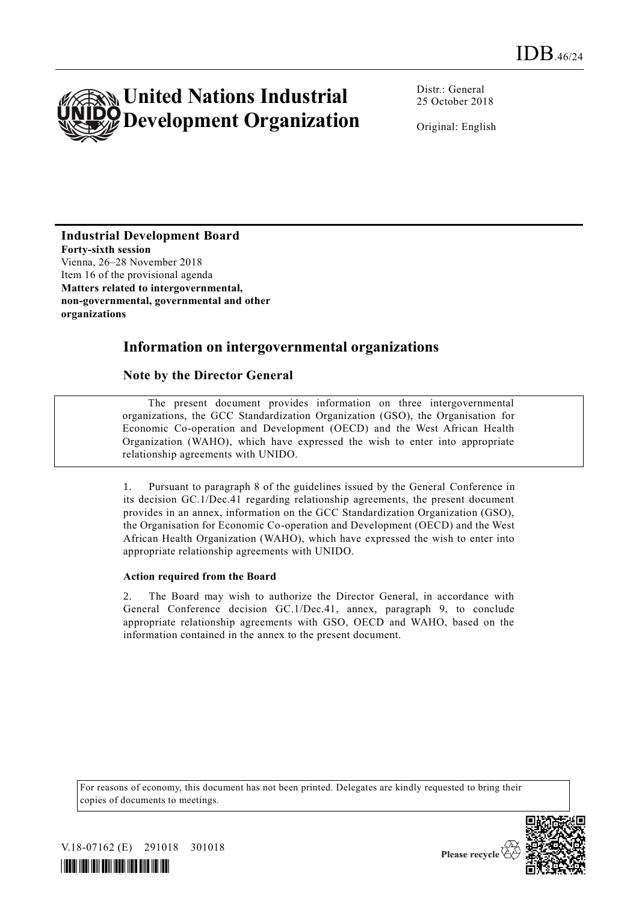

Distr.: General 25 October 2018

Original: English

**Industrial Development Board Forty-sixth session** Vienna, 26–28 November 2018 Item 16 of the provisional agenda **Matters related to intergovernmental, non-governmental, governmental and other organizations**

# **Information on intergovernmental organizations**

## **Note by the Director General**

The present document provides information on three intergovernmental organizations, the GCC Standardization Organization (GSO), the Organisation for Economic Co-operation and Development (OECD) and the West African Health Organization (WAHO), which have expressed the wish to enter into appropriate relationship agreements with UNIDO.

1. Pursuant to paragraph 8 of the guidelines issued by the General Conference in its decision GC.1/Dec.41 regarding relationship agreements, the present document provides in an annex, information on the GCC Standardization Organization (GSO), the Organisation for Economic Co-operation and Development (OECD) and the West African Health Organization (WAHO), which have expressed the wish to enter into appropriate relationship agreements with UNIDO.

## **Action required from the Board**

2. The Board may wish to authorize the Director General, in accordance with General Conference decision GC.1/Dec.41, annex, paragraph 9, to conclude appropriate relationship agreements with GSO, OECD and WAHO, based on the information contained in the annex to the present document.

For reasons of economy, this document has not been printed. Delegates are kindly requested to bring their copies of documents to meetings.



V.18-07162 (E) 291018 301018



Please recycle  $\mathfrak{C}$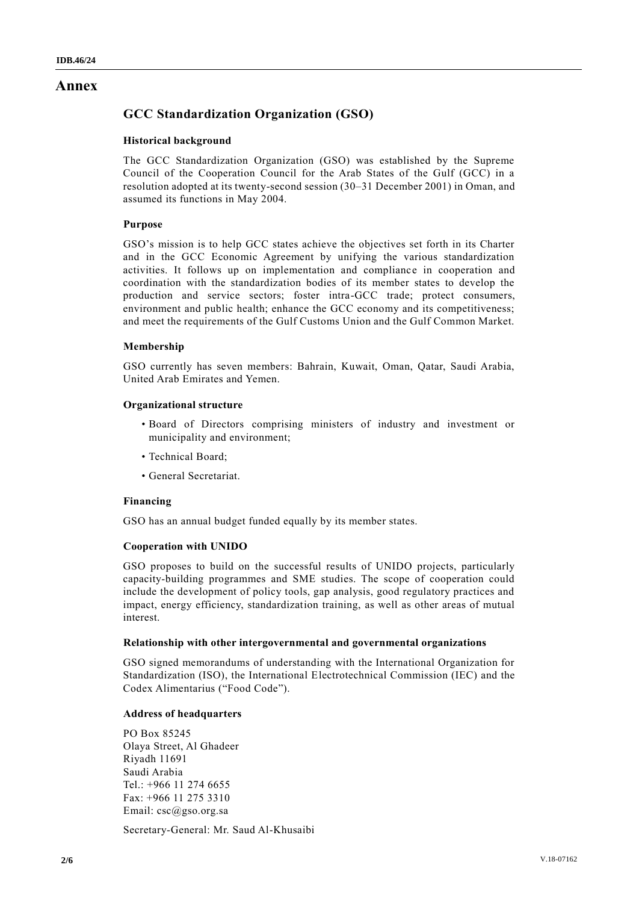# **Annex**

# **GCC Standardization Organization (GSO)**

## **Historical background**

The GCC Standardization Organization (GSO) was established by the Supreme Council of the Cooperation Council for the Arab States of the Gulf (GCC) in a resolution adopted at its twenty-second session (30–31 December 2001) in Oman, and assumed its functions in May 2004.

## **Purpose**

GSO's mission is to help GCC states achieve the objectives set forth in its Charter and in the GCC Economic Agreement by unifying the various standardization activities. It follows up on implementation and compliance in cooperation and coordination with the standardization bodies of its member states to develop the production and service sectors; foster intra-GCC trade; protect consumers, environment and public health; enhance the GCC economy and its competitiveness; and meet the requirements of the Gulf Customs Union and the Gulf Common Market.

## **Membership**

GSO currently has seven members: Bahrain, Kuwait, Oman, Qatar, Saudi Arabia, United Arab Emirates and Yemen.

## **Organizational structure**

- Board of Directors comprising ministers of industry and investment or municipality and environment;
- Technical Board;
- General Secretariat.

## **Financing**

GSO has an annual budget funded equally by its member states.

## **Cooperation with UNIDO**

GSO proposes to build on the successful results of UNIDO projects, particularly capacity-building programmes and SME studies. The scope of cooperation could include the development of policy tools, gap analysis, good regulatory practices and impact, energy efficiency, standardization training, as well as other areas of mutual interest.

## **Relationship with other intergovernmental and governmental organizations**

GSO signed memorandums of understanding with the International Organization for Standardization (ISO), the International Electrotechnical Commission (IEC) and the Codex Alimentarius ("Food Code").

## **Address of headquarters**

PO Box 85245 Olaya Street, Al Ghadeer Riyadh 11691 Saudi Arabia Tel.: +966 11 274 6655 Fax: +966 11 275 3310 Email: csc@gso.org.sa

Secretary-General: Mr. Saud Al-Khusaibi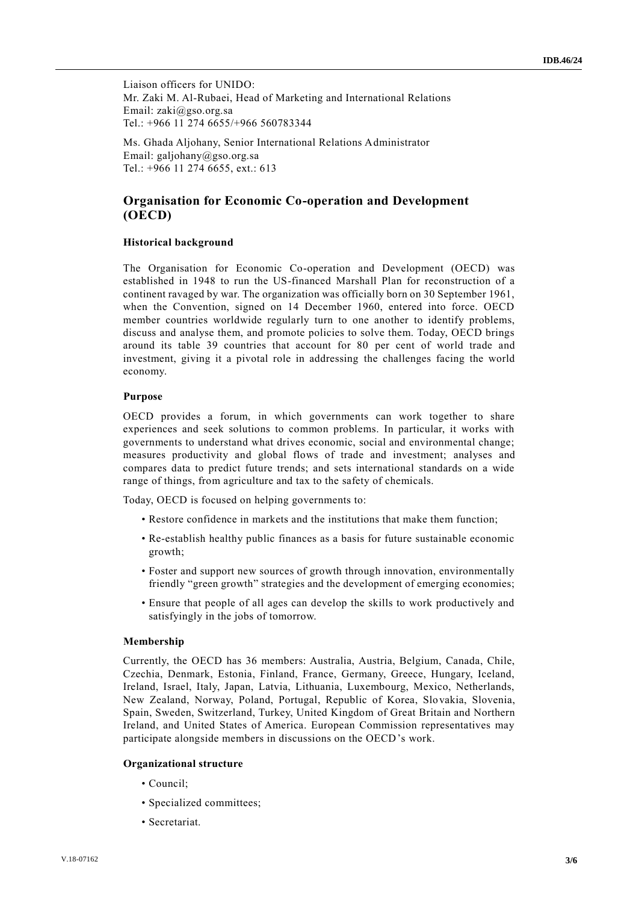Liaison officers for UNIDO: Mr. Zaki M. Al-Rubaei, Head of Marketing and International Relations Email: zaki@gso.org.sa Tel.: +966 11 274 6655/+966 560783344

Ms. Ghada Aljohany, Senior International Relations Administrator Email: galjohany@gso.org.sa Tel.: +966 11 274 6655, ext.: 613

## **Organisation for Economic Co-operation and Development (OECD)**

### **Historical background**

The Organisation for Economic Co-operation and Development (OECD) was established in 1948 to run the US-financed Marshall Plan for reconstruction of a continent ravaged by war. The organization was officially born on 30 September 1961, when the Convention, signed on 14 December 1960, entered into force. OECD member countries worldwide regularly turn to one another to identify problems, discuss and analyse them, and promote policies to solve them. Today, OECD brings around its table 39 countries that account for 80 per cent of world trade and investment, giving it a pivotal role in addressing the challenges facing the world economy.

### **Purpose**

OECD provides a forum, in which governments can work together to share experiences and seek solutions to common problems. In particular, it works with governments to understand what drives economic, social and environmental change; measures productivity and global flows of trade and investment; analyses and compares data to predict future trends; and sets international standards on a wide range of things, from agriculture and tax to the safety of chemicals.

Today, OECD is focused on helping governments to:

- Restore confidence in markets and the institutions that make them function;
- Re-establish healthy public finances as a basis for future sustainable economic growth;
- Foster and support new sources of growth through innovation, environmentally friendly "green growth" strategies and the development of emerging economies;
- Ensure that people of all ages can develop the skills to work productively and satisfyingly in the jobs of tomorrow.

#### **Membership**

Currently, the OECD has 36 members: Australia, Austria, Belgium, Canada, Chile, Czechia, Denmark, Estonia, Finland, France, Germany, Greece, Hungary, Iceland, Ireland, Israel, Italy, Japan, Latvia, Lithuania, Luxembourg, Mexico, Netherlands, New Zealand, Norway, Poland, Portugal, Republic of Korea, Slovakia, Slovenia, Spain, Sweden, Switzerland, Turkey, United Kingdom of Great Britain and Northern Ireland, and United States of America. European Commission representatives may participate alongside members in discussions on the OECD's work.

#### **Organizational structure**

- Council;
- Specialized committees;
- Secretariat.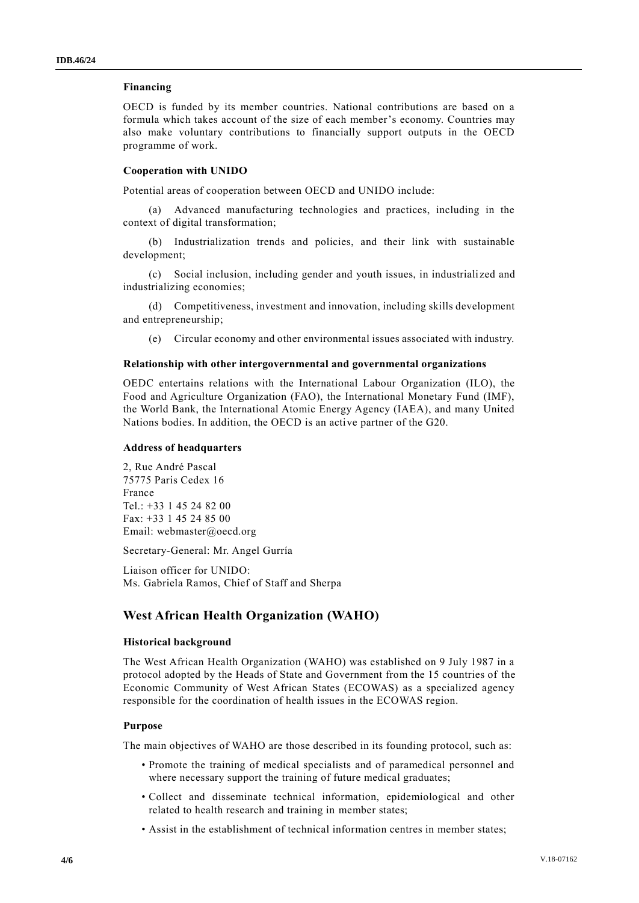#### **Financing**

OECD is funded by its member countries. National contributions are based on a formula which takes account of the size of each member's economy. Countries may also make voluntary contributions to financially support outputs in the OECD programme of work.

#### **Cooperation with UNIDO**

Potential areas of cooperation between OECD and UNIDO include:

(a) Advanced manufacturing technologies and practices, including in the context of digital transformation;

(b) Industrialization trends and policies, and their link with sustainable development;

(c) Social inclusion, including gender and youth issues, in industriali zed and industrializing economies;

(d) Competitiveness, investment and innovation, including skills development and entrepreneurship;

(e) Circular economy and other environmental issues associated with industry.

#### **Relationship with other intergovernmental and governmental organizations**

OEDC entertains relations with the International Labour Organization (ILO), the Food and Agriculture Organization (FAO), the International Monetary Fund (IMF), the World Bank, the International Atomic Energy Agency (IAEA), and many United Nations bodies. In addition, the OECD is an active partner of the G20.

#### **Address of headquarters**

2, Rue André Pascal 75775 Paris Cedex 16 France Tel.: +33 1 45 24 82 00 Fax: +33 1 45 24 85 00 Email: webmaster@oecd.org

Secretary-General: Mr. Angel Gurría

Liaison officer for UNIDO: Ms. Gabriela Ramos, Chief of Staff and Sherpa

## **West African Health Organization (WAHO)**

#### **Historical background**

The West African Health Organization (WAHO) was established on 9 July 1987 in a protocol adopted by the Heads of State and Government from the 15 countries of the Economic Community of West African States (ECOWAS) as a specialized agency responsible for the coordination of health issues in the ECOWAS region.

#### **Purpose**

The main objectives of WAHO are those described in its founding protocol, such as:

- Promote the training of medical specialists and of paramedical personnel and where necessary support the training of future medical graduates;
- Collect and disseminate technical information, epidemiological and other related to health research and training in member states;
- Assist in the establishment of technical information centres in member states;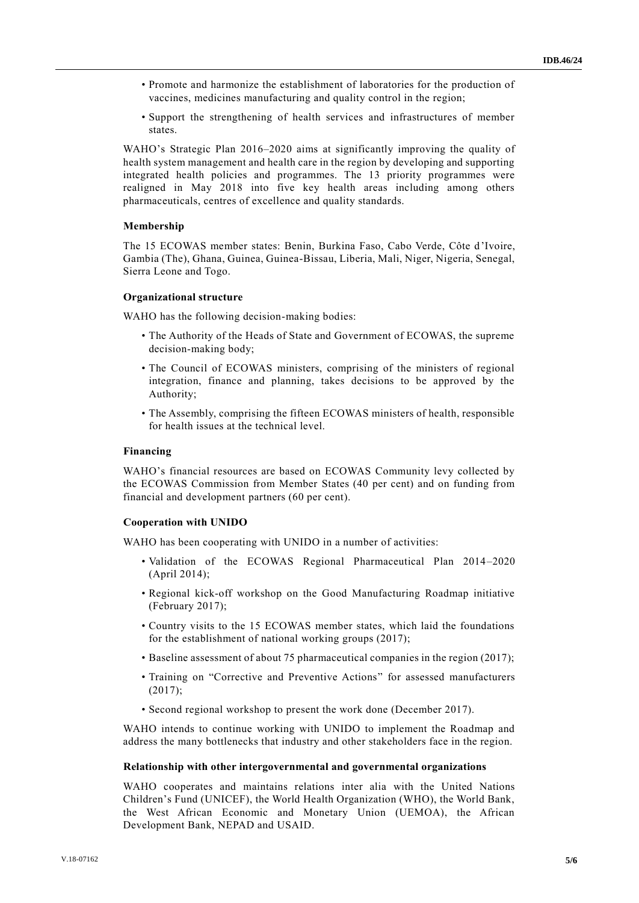- Promote and harmonize the establishment of laboratories for the production of vaccines, medicines manufacturing and quality control in the region;
- Support the strengthening of health services and infrastructures of member states.

WAHO's Strategic Plan 2016–2020 aims at significantly improving the quality of health system management and health care in the region by developing and supporting integrated health policies and programmes. The 13 priority programmes were realigned in May 2018 into five key health areas including among others pharmaceuticals, centres of excellence and quality standards.

#### **Membership**

The 15 ECOWAS member states: Benin, Burkina Faso, Cabo Verde, Côte d'Ivoire, Gambia (The), Ghana, Guinea, Guinea-Bissau, Liberia, Mali, Niger, Nigeria, Senegal, Sierra Leone and Togo.

#### **Organizational structure**

WAHO has the following decision-making bodies:

- The Authority of the Heads of State and Government of ECOWAS, the supreme decision-making body;
- The Council of ECOWAS ministers, comprising of the ministers of regional integration, finance and planning, takes decisions to be approved by the Authority;
- The Assembly, comprising the fifteen ECOWAS ministers of health, responsible for health issues at the technical level.

## **Financing**

WAHO's financial resources are based on ECOWAS Community levy collected by the ECOWAS Commission from Member States (40 per cent) and on funding from financial and development partners (60 per cent).

#### **Cooperation with UNIDO**

WAHO has been cooperating with UNIDO in a number of activities:

- Validation of the ECOWAS Regional Pharmaceutical Plan 2014–2020 (April 2014);
- Regional kick-off workshop on the Good Manufacturing Roadmap initiative (February 2017);
- Country visits to the 15 ECOWAS member states, which laid the foundations for the establishment of national working groups (2017);
- Baseline assessment of about 75 pharmaceutical companies in the region (2017);
- Training on "Corrective and Preventive Actions" for assessed manufacturers (2017);
- Second regional workshop to present the work done (December 2017).

WAHO intends to continue working with UNIDO to implement the Roadmap and address the many bottlenecks that industry and other stakeholders face in the region.

#### **Relationship with other intergovernmental and governmental organizations**

WAHO cooperates and maintains relations inter alia with the United Nations Children's Fund (UNICEF), the World Health Organization (WHO), the World Bank, the West African Economic and Monetary Union (UEMOA), the African Development Bank, NEPAD and USAID.